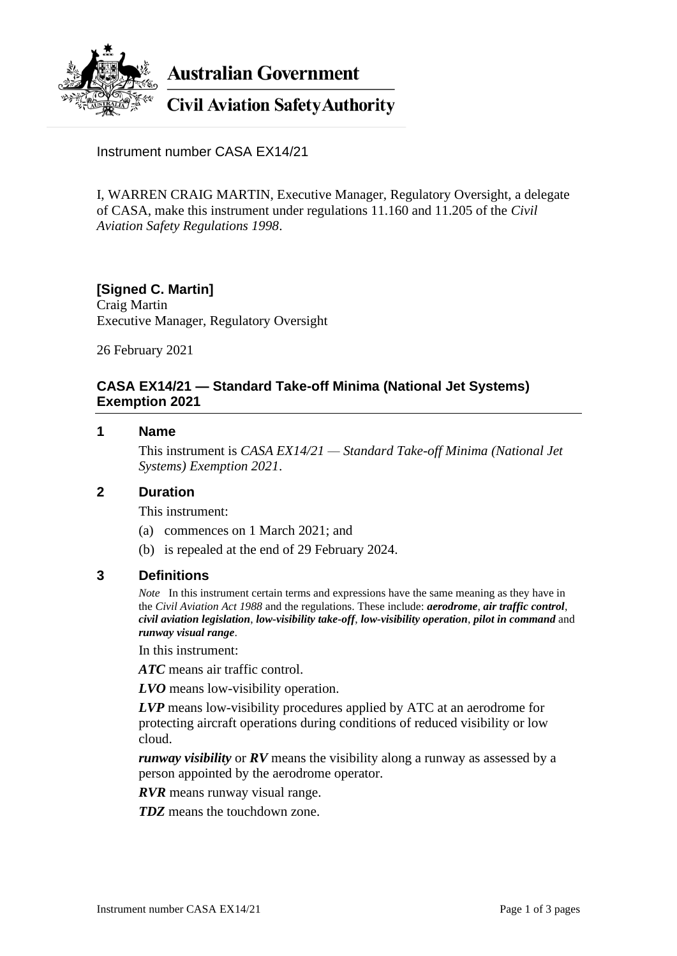

**Australian Government** 

# **Civil Aviation Safety Authority**

Instrument number CASA EX14/21

I, WARREN CRAIG MARTIN, Executive Manager, Regulatory Oversight, a delegate of CASA, make this instrument under regulations 11.160 and 11.205 of the *Civil Aviation Safety Regulations 1998*.

# **[Signed C. Martin]**

Craig Martin Executive Manager, Regulatory Oversight

26 February 2021

#### **CASA EX14/21 — Standard Take-off Minima (National Jet Systems) Exemption 2021**

#### **1 Name**

This instrument is *CASA EX14/21 — Standard Take-off Minima (National Jet Systems) Exemption 2021*.

#### **2 Duration**

This instrument:

- (a) commences on 1 March 2021; and
- (b) is repealed at the end of 29 February 2024.

#### **3 Definitions**

*Note* In this instrument certain terms and expressions have the same meaning as they have in the *Civil Aviation Act 1988* and the regulations. These include: *aerodrome*, *air traffic control*, *civil aviation legislation*, *low-visibility take-off*, *low-visibility operation*, *pilot in command* and *runway visual range*.

In this instrument:

*ATC* means air traffic control.

*LVO* means low-visibility operation.

*LVP* means low-visibility procedures applied by ATC at an aerodrome for protecting aircraft operations during conditions of reduced visibility or low cloud.

*runway visibility* or *RV* means the visibility along a runway as assessed by a person appointed by the aerodrome operator.

*RVR* means runway visual range.

*TDZ* means the touchdown zone.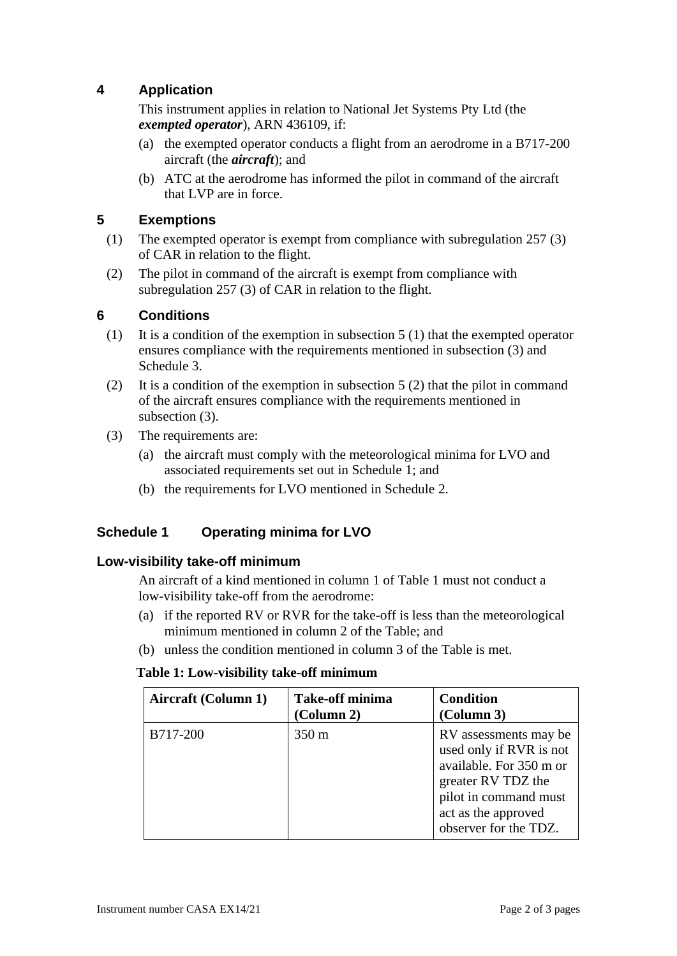# **4 Application**

This instrument applies in relation to National Jet Systems Pty Ltd (the *exempted operator*), ARN 436109, if:

- (a) the exempted operator conducts a flight from an aerodrome in a B717-200 aircraft (the *aircraft*); and
- (b) ATC at the aerodrome has informed the pilot in command of the aircraft that LVP are in force.

#### **5 Exemptions**

- (1) The exempted operator is exempt from compliance with subregulation 257 (3) of CAR in relation to the flight.
- (2) The pilot in command of the aircraft is exempt from compliance with subregulation 257 (3) of CAR in relation to the flight.

#### **6 Conditions**

- (1) It is a condition of the exemption in subsection 5 (1) that the exempted operator ensures compliance with the requirements mentioned in subsection (3) and Schedule 3.
- (2) It is a condition of the exemption in subsection 5 (2) that the pilot in command of the aircraft ensures compliance with the requirements mentioned in subsection (3).
- (3) The requirements are:
	- (a) the aircraft must comply with the meteorological minima for LVO and associated requirements set out in Schedule 1; and
	- (b) the requirements for LVO mentioned in Schedule 2.

## **Schedule 1 Operating minima for LVO**

#### **Low-visibility take-off minimum**

An aircraft of a kind mentioned in column 1 of Table 1 must not conduct a low-visibility take-off from the aerodrome:

- (a) if the reported RV or RVR for the take-off is less than the meteorological minimum mentioned in column 2 of the Table; and
- (b) unless the condition mentioned in column 3 of the Table is met.

#### **Table 1: Low-visibility take-off minimum**

| <b>Aircraft (Column 1)</b> | <b>Take-off minima</b><br>(Column 2) | <b>Condition</b><br>(Column 3)                                                                                                                                             |
|----------------------------|--------------------------------------|----------------------------------------------------------------------------------------------------------------------------------------------------------------------------|
| B717-200                   | 350 m                                | RV assessments may be<br>used only if RVR is not<br>available. For 350 m or<br>greater RV TDZ the<br>pilot in command must<br>act as the approved<br>observer for the TDZ. |